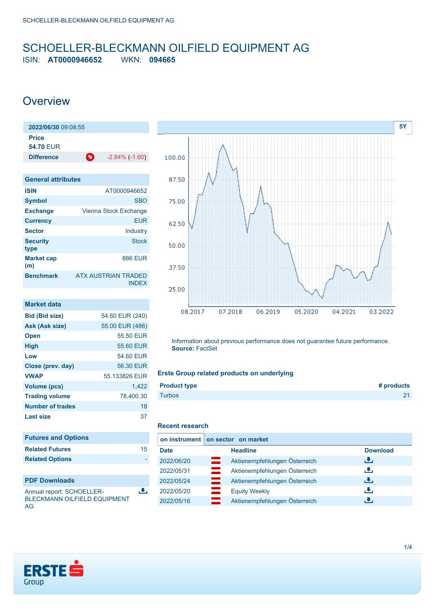## <span id="page-0-0"></span>SCHOELLER-BLECKMANN OILFIELD EQUIPMENT AG ISIN: **AT0000946652** WKN: **094665**

## **Overview**

| 2022/06/30 09:08:55              |   |                       |
|----------------------------------|---|-----------------------|
| <b>Price</b><br><b>54.70 EUR</b> |   |                       |
| <b>Difference</b>                | o | $-2.84\%$ ( $-1.60$ ) |

| <b>General attributes</b> |                                            |
|---------------------------|--------------------------------------------|
| <b>ISIN</b>               | AT0000946652                               |
| <b>Symbol</b>             | <b>SBO</b>                                 |
| <b>Exchange</b>           | Vienna Stock Exchange                      |
| <b>Currency</b>           | <b>EUR</b>                                 |
| <b>Sector</b>             | Industry                                   |
| <b>Security</b><br>type   | <b>Stock</b>                               |
| <b>Market cap</b><br>(m)  | <b>886 EUR</b>                             |
| <b>Benchmark</b>          | <b>ATX AUSTRIAN TRADED</b><br><b>INDEX</b> |

| Market data             |                 |
|-------------------------|-----------------|
| <b>Bid (Bid size)</b>   | 54.60 EUR (240) |
| Ask (Ask size)          | 55.00 EUR (486) |
| <b>Open</b>             | 55.50 EUR       |
| <b>High</b>             | 55.60 EUR       |
| Low                     | 54.60 EUR       |
| Close (prev. day)       | 56.30 EUR       |
| <b>VWAP</b>             | 55.133826 FUR   |
| <b>Volume (pcs)</b>     | 1.422           |
| <b>Trading volume</b>   | 78,400.30       |
| <b>Number of trades</b> | 18              |
| Last size               | 37              |

| <b>Futures and Options</b> |    |
|----------------------------|----|
| <b>Related Futures</b>     | 15 |
| <b>Related Options</b>     |    |
|                            |    |

Annual report: SCHOELLER-BLECKMANN OILFIELD EQUIPMENT AG



Information about previous performance does not guarantee future performance. **Source:** FactSet

### **Erste Group related products on underlying**

| <b>Product type</b> | # products   |
|---------------------|--------------|
| <b>Turbos</b>       | $\mathbf{A}$ |
|                     |              |

### **Recent research**

區

|             | on instrument   on sector on market         |                 |
|-------------|---------------------------------------------|-----------------|
| <b>Date</b> | <b>Headline</b>                             | <b>Download</b> |
| 2022/06/20  | Aktienempfehlungen Österreich<br>▭          | رنان            |
| 2022/05/31  | =<br>Aktienempfehlungen Österreich          | رنان            |
| 2022/05/24  | <u>e e</u><br>Aktienempfehlungen Österreich | رنان            |
| 2022/05/20  | <b>Equity Weekly</b>                        | æ,              |
| 2022/05/16  | Aktienempfehlungen Österreich               | υ.              |

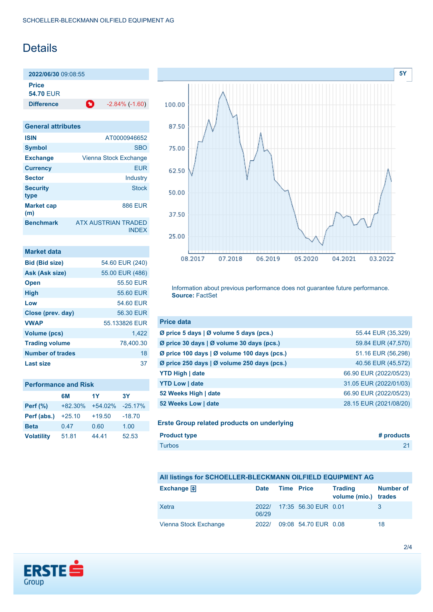# Details

**2022/06/30** 09:08:55 **Price**

**54.70** EUR

**Difference** -2.84% (-1.60)

| <b>General attributes</b> |                                            |  |
|---------------------------|--------------------------------------------|--|
| <b>ISIN</b>               | AT0000946652                               |  |
| <b>Symbol</b>             | <b>SBO</b>                                 |  |
| <b>Exchange</b>           | Vienna Stock Exchange                      |  |
| <b>Currency</b>           | <b>EUR</b>                                 |  |
| <b>Sector</b>             | Industry                                   |  |
| <b>Security</b><br>type   | Stock                                      |  |
| <b>Market cap</b><br>(m)  | <b>886 EUR</b>                             |  |
| <b>Benchmark</b>          | <b>ATX AUSTRIAN TRADED</b><br><b>INDFX</b> |  |

| Market data             |                 |
|-------------------------|-----------------|
| <b>Bid (Bid size)</b>   | 54.60 EUR (240) |
| Ask (Ask size)          | 55.00 EUR (486) |
| <b>Open</b>             | 55.50 EUR       |
| <b>High</b>             | 55.60 EUR       |
| Low                     | 54.60 EUR       |
| Close (prev. day)       | 56.30 EUR       |
| <b>VWAP</b>             | 55.133826 EUR   |
| <b>Volume (pcs)</b>     | 1.422           |
| <b>Trading volume</b>   | 78.400.30       |
| <b>Number of trades</b> | 18              |
| Last size               | 37              |

| <b>Performance and Risk</b> |           |           |            |
|-----------------------------|-----------|-----------|------------|
|                             | 6M        | 1Y        | 3Y         |
| Perf $(\%)$                 | $+82.30%$ | $+54.02%$ | $-25.17\%$ |
| Perf (abs.)                 | $+25.10$  | $+19.50$  | $-18.70$   |
| <b>Beta</b>                 | 0.47      | 0.60      | 1.00       |
| <b>Volatility</b>           | 51.81     | 44.41     | 52.53      |



Information about previous performance does not guarantee future performance. **Source:** FactSet

| 55.44 EUR (35,329)     |
|------------------------|
| 59.84 EUR (47,570)     |
| 51.16 EUR (56,298)     |
| 40.56 EUR (45,572)     |
| 66.90 EUR (2022/05/23) |
| 31.05 EUR (2022/01/03) |
| 66.90 EUR (2022/05/23) |
| 28.15 EUR (2021/08/20) |
|                        |

**Erste Group related products on underlying**

| <b>Product type</b> | # products |
|---------------------|------------|
| <b>Turbos</b>       | 21         |

## **All listings for SCHOELLER-BLECKMANN OILFIELD EQUIPMENT AG**

| Exchange $\bigoplus$  | <b>Date</b>    | Time Price |                      | <b>Trading</b><br>volume (mio.) trades | <b>Number of</b> |
|-----------------------|----------------|------------|----------------------|----------------------------------------|------------------|
| Xetra                 | 2022/<br>06/29 |            | 17:35 56.30 EUR 0.01 |                                        |                  |
| Vienna Stock Exchange | 2022/          |            | 09:08 54.70 EUR 0.08 |                                        | 18               |

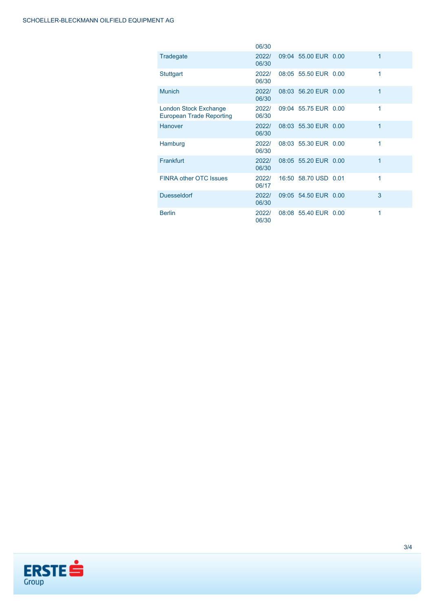|                                                          | 06/30          |                      |   |
|----------------------------------------------------------|----------------|----------------------|---|
| <b>Tradegate</b>                                         | 2022/<br>06/30 | 09:04 55.00 EUR 0.00 | 1 |
| <b>Stuttgart</b>                                         | 2022/<br>06/30 | 08:05 55.50 EUR 0.00 | 1 |
| <b>Munich</b>                                            | 2022/<br>06/30 | 08:03 56.20 EUR 0.00 | 1 |
| London Stock Exchange<br><b>European Trade Reporting</b> | 2022/<br>06/30 | 09:04 55.75 EUR 0.00 | 1 |
| <b>Hanover</b>                                           | 2022/<br>06/30 | 08:03 55.30 EUR 0.00 | 1 |
| Hamburg                                                  | 2022/<br>06/30 | 08:03 55.30 EUR 0.00 | 1 |
| Frankfurt                                                | 2022/<br>06/30 | 08:05 55.20 EUR 0.00 | 1 |
| <b>FINRA other OTC Issues</b>                            | 2022/<br>06/17 | 16:50 58.70 USD 0.01 | 1 |
| <b>Duesseldorf</b>                                       | 2022/<br>06/30 | 09:05 54.50 EUR 0.00 | 3 |
| <b>Berlin</b>                                            | 2022/<br>06/30 | 08:08 55.40 EUR 0.00 | 1 |